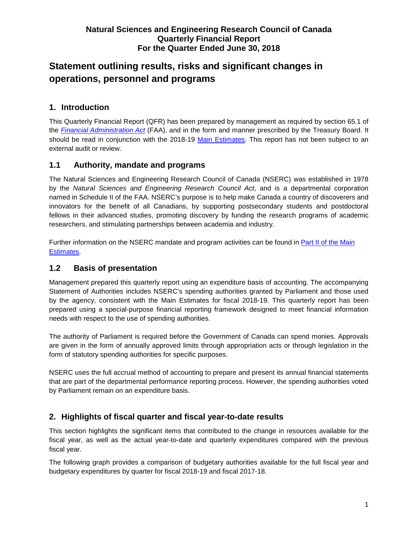# **Statement outlining results, risks and significant changes in operations, personnel and programs**

## **1. Introduction**

This Quarterly Financial Report (QFR) has been prepared by management as required by section 65.1 of the *Financial [Administration](http://laws-lois.justice.gc.ca/eng/acts/f-11/page-33.html) Act* (FAA), and in the form and manner prescribed by the Treasury Board. It should be read in conjunction with the 2018-19 [Main Estimates.](https://www.canada.ca/en/treasury-board-secretariat/services/planned-government-spending/government-expenditure-plan-main-estimates/2018-19-estimates.html) This report has not been subject to an external audit or review.

## **1.1 Authority, mandate and programs**

The Natural Sciences and Engineering Research Council of Canada (NSERC) was established in 1978 by the *Natural Sciences and Engineering Research Council Act*, and is a departmental corporation named in Schedule II of the FAA. NSERC's purpose is to help make Canada a country of discoverers and innovators for the benefit of all Canadians, by supporting postsecondary students and postdoctoral fellows in their advanced studies, promoting discovery by funding the research programs of academic researchers, and stimulating partnerships between academia and industry.

Further information on the NSERC mandate and program activities can be found in Part [II of the Main](https://www.canada.ca/en/treasury-board-secretariat/services/planned-government-spending/government-expenditure-plan-main-estimates/2018-19-estimates.html)  [Estimates.](https://www.canada.ca/en/treasury-board-secretariat/services/planned-government-spending/government-expenditure-plan-main-estimates/2018-19-estimates.html)

## **1.2 Basis of presentation**

Management prepared this quarterly report using an expenditure basis of accounting. The accompanying Statement of Authorities includes NSERC's spending authorities granted by Parliament and those used by the agency, consistent with the Main Estimates for fiscal 2018-19. This quarterly report has been prepared using a special-purpose financial reporting framework designed to meet financial information needs with respect to the use of spending authorities.

The authority of Parliament is required before the Government of Canada can spend monies. Approvals are given in the form of annually approved limits through appropriation acts or through legislation in the form of statutory spending authorities for specific purposes.

NSERC uses the full accrual method of accounting to prepare and present its annual financial statements that are part of the departmental performance reporting process. However, the spending authorities voted by Parliament remain on an expenditure basis.

## **2. Highlights of fiscal quarter and fiscal year-to-date results**

This section highlights the significant items that contributed to the change in resources available for the fiscal year, as well as the actual year-to-date and quarterly expenditures compared with the previous fiscal year.

The following graph provides a comparison of budgetary authorities available for the full fiscal year and budgetary expenditures by quarter for fiscal 2018-19 and fiscal 2017-18.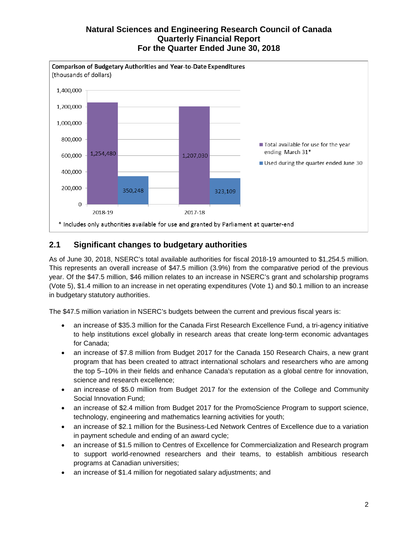

## **2.1 Significant changes to budgetary authorities**

As of June 30, 2018, NSERC's total available authorities for fiscal 2018-19 amounted to \$1,254.5 million. This represents an overall increase of \$47.5 million (3.9%) from the comparative period of the previous year. Of the \$47.5 million, \$46 million relates to an increase in NSERC's grant and scholarship programs (Vote 5), \$1.4 million to an increase in net operating expenditures (Vote 1) and \$0.1 million to an increase in budgetary statutory authorities.

The \$47.5 million variation in NSERC's budgets between the current and previous fiscal years is:

- an increase of \$35.3 million for the Canada First Research Excellence Fund, a tri-agency initiative to help institutions excel globally in research areas that create long-term economic advantages for Canada;
- an increase of \$7.8 million from Budget 2017 for the Canada 150 Research Chairs, a new grant program that has been created to attract international scholars and researchers who are among the top 5–10% in their fields and enhance Canada's reputation as a global centre for innovation, science and research excellence;
- an increase of \$5.0 million from Budget 2017 for the extension of the College and Community Social Innovation Fund;
- an increase of \$2.4 million from Budget 2017 for the PromoScience Program to support science, technology, engineering and mathematics learning activities for youth;
- an increase of \$2.1 million for the Business-Led Network Centres of Excellence due to a variation in payment schedule and ending of an award cycle;
- an increase of \$1.5 million to Centres of Excellence for Commercialization and Research program to support world-renowned researchers and their teams, to establish ambitious research programs at Canadian universities;
- an increase of \$1.4 million for negotiated salary adjustments; and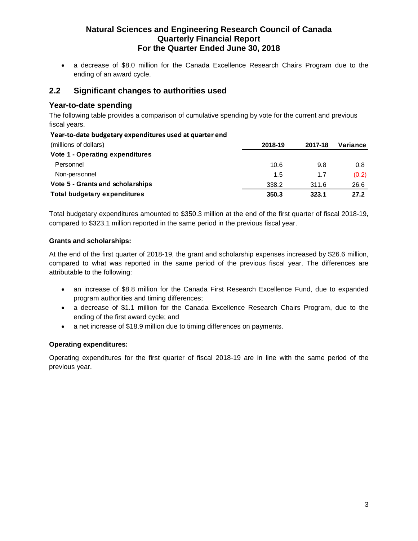• a decrease of \$8.0 million for the Canada Excellence Research Chairs Program due to the ending of an award cycle.

### **2.2 Significant changes to authorities used**

### **Year-to-date spending**

The following table provides a comparison of cumulative spending by vote for the current and previous fiscal years.

#### **Year-to-date budgetary expenditures used at quarter end**

| 2018-19 | 2017-18 | Variance |
|---------|---------|----------|
|         |         |          |
| 10.6    | 9.8     | 0.8      |
| 1.5     | 1.7     | (0.2)    |
| 338.2   | 311.6   | 26.6     |
| 350.3   | 323.1   | 27.2     |
|         |         |          |

Total budgetary expenditures amounted to \$350.3 million at the end of the first quarter of fiscal 2018-19, compared to \$323.1 million reported in the same period in the previous fiscal year.

#### **Grants and scholarships:**

At the end of the first quarter of 2018-19, the grant and scholarship expenses increased by \$26.6 million, compared to what was reported in the same period of the previous fiscal year. The differences are attributable to the following:

- an increase of \$8.8 million for the Canada First Research Excellence Fund, due to expanded program authorities and timing differences;
- a decrease of \$1.1 million for the Canada Excellence Research Chairs Program, due to the ending of the first award cycle; and
- a net increase of \$18.9 million due to timing differences on payments.

#### **Operating expenditures:**

Operating expenditures for the first quarter of fiscal 2018-19 are in line with the same period of the previous year.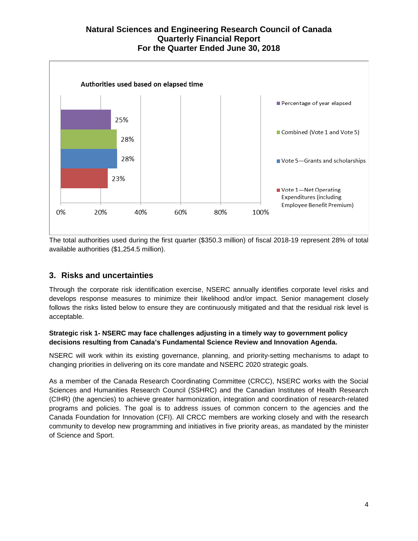

The total authorities used during the first quarter (\$350.3 million) of fiscal 2018-19 represent 28% of total available authorities (\$1,254.5 million).

## **3. Risks and uncertainties**

Through the corporate risk identification exercise, NSERC annually identifies corporate level risks and develops response measures to minimize their likelihood and/or impact. Senior management closely follows the risks listed below to ensure they are continuously mitigated and that the residual risk level is acceptable.

#### **Strategic risk 1- NSERC may face challenges adjusting in a timely way to government policy decisions resulting from Canada's Fundamental Science Review and Innovation Agenda.**

NSERC will work within its existing governance, planning, and priority-setting mechanisms to adapt to changing priorities in delivering on its core mandate and NSERC 2020 strategic goals.

As a member of the [Canada Research Coordinating Committee](http://www.ic.gc.ca/eic/site/icgc.nsf/eng/07620.html) (CRCC), NSERC works with the Social Sciences and Humanities Research Council (SSHRC) and the Canadian Institutes of Health Research (CIHR) (the agencies) to achieve greater harmonization, integration and coordination of research-related programs and policies. The goal is to address issues of common concern to the agencies and the Canada Foundation for Innovation (CFI). All CRCC members are working closely and with the research community to develop new programming and initiatives in five priority areas, as mandated by the minister of Science and Sport.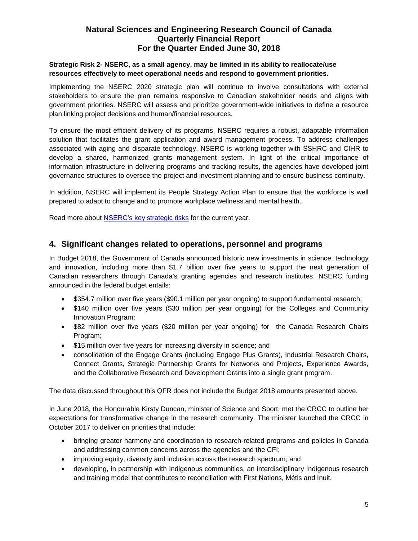#### **Strategic Risk 2- NSERC, as a small agency, may be limited in its ability to reallocate/use resources effectively to meet operational needs and respond to government priorities.**

Implementing the NSERC 2020 strategic plan will continue to involve consultations with external stakeholders to ensure the plan remains responsive to Canadian stakeholder needs and aligns with government priorities. NSERC will assess and prioritize government-wide initiatives to define a resource plan linking project decisions and human/financial resources.

To ensure the most efficient delivery of its programs, NSERC requires a robust, adaptable information solution that facilitates the grant application and award management process. To address challenges associated with aging and disparate technology, NSERC is working together with SSHRC and CIHR to develop a shared, harmonized grants management system. In light of the critical importance of information infrastructure in delivering programs and tracking results, the agencies have developed joint governance structures to oversee the project and investment planning and to ensure business continuity.

In addition, NSERC will implement its People Strategy Action Plan to ensure that the workforce is well prepared to adapt to change and to promote workplace wellness and mental health.

Read more about [NSERC's key strategic risks](http://www.nserc-crsng.gc.ca/NSERC-CRSNG/Reports-Rapports/DP/2018-2019/supplementary/t5_eng.asp) for the current year.

#### **4. Significant changes related to operations, personnel and programs**

In Budget 2018, the Government of Canada announced historic new investments in science, technology and innovation, including more than \$1.7 billion over five years to support the next generation of Canadian researchers through Canada's granting agencies and research institutes. NSERC funding announced in the federal budget entails:

- \$354.7 million over five years (\$90.1 million per year ongoing) to support fundamental research;
- \$140 million over five years (\$30 million per year ongoing) for the Colleges and Community Innovation Program;
- \$82 million over five years (\$20 million per year ongoing) for the Canada Research Chairs Program;
- \$15 million over five years for increasing diversity in science; and
- consolidation of the Engage Grants (including Engage Plus Grants), Industrial Research Chairs, Connect Grants, Strategic Partnership Grants for Networks and Projects, Experience Awards, and the Collaborative Research and Development Grants into a single grant program.

The data discussed throughout this QFR does not include the Budget 2018 amounts presented above.

In June 2018, the Honourable Kirsty Duncan, minister of Science and Sport, met the CRCC to outline her expectations for transformative change in the research community. The minister launched the CRCC in October 2017 to deliver on priorities that include:

- bringing greater harmony and coordination to research-related programs and policies in Canada and addressing common concerns across the agencies and the CFI;
- improving equity, diversity and inclusion across the research spectrum; and
- developing, in partnership with Indigenous communities, an interdisciplinary Indigenous research and training model that contributes to reconciliation with First Nations, Métis and Inuit.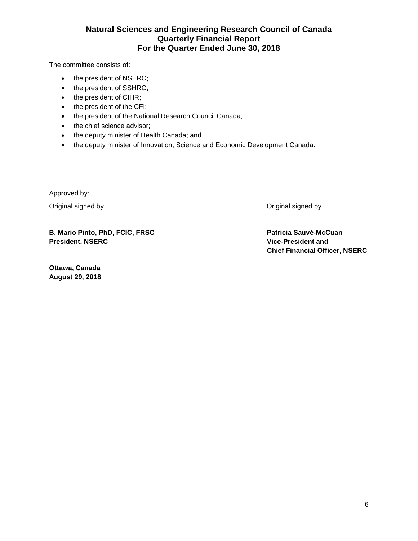The committee consists of:

- the president of NSERC;
- the president of SSHRC;
- the president of CIHR;
- the president of the CFI;
- the president of the National Research Council Canada;
- the chief science advisor;
- the deputy minister of Health Canada; and
- the deputy minister of Innovation, Science and Economic Development Canada.

Approved by:

Original signed by Original signed by

**August 29, 2018**

**B. Mario Pinto, PhD, FCIC, FRSC President, NSERC**

**Ottawa, Canada**

**Patricia Sauvé-McCuan Vice-President and Chief Financial Officer, NSERC**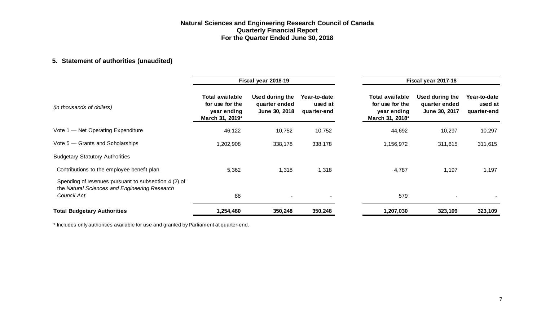## **5. Statement of authorities (unaudited)**

|                                                                                                                      | Fiscal year 2018-19                                                  |                                                   |                                        |                                                                             | Fiscal year 2017-18                               |                                        |  |  |
|----------------------------------------------------------------------------------------------------------------------|----------------------------------------------------------------------|---------------------------------------------------|----------------------------------------|-----------------------------------------------------------------------------|---------------------------------------------------|----------------------------------------|--|--|
| (in thousands of dollars)                                                                                            | Total available<br>for use for the<br>year ending<br>March 31, 2019* | Used during the<br>quarter ended<br>June 30, 2018 | Year-to-date<br>used at<br>quarter-end | <b>Total available</b><br>for use for the<br>year ending<br>March 31, 2018* | Used during the<br>quarter ended<br>June 30, 2017 | Year-to-date<br>used at<br>quarter-end |  |  |
| Vote 1 - Net Operating Expenditure                                                                                   | 46,122                                                               | 10,752                                            | 10,752                                 | 44,692                                                                      | 10,297                                            | 10,297                                 |  |  |
| Vote 5 – Grants and Scholarships                                                                                     | 1,202,908                                                            | 338,178                                           | 338,178                                | 1,156,972                                                                   | 311,615                                           | 311,615                                |  |  |
| <b>Budgetary Statutory Authorities</b>                                                                               |                                                                      |                                                   |                                        |                                                                             |                                                   |                                        |  |  |
| Contributions to the employee benefit plan                                                                           | 5,362                                                                | 1,318                                             | 1,318                                  | 4,787                                                                       | 1,197                                             | 1,197                                  |  |  |
| Spending of revenues pursuant to subsection 4 (2) of<br>the Natural Sciences and Engineering Research<br>Council Act | 88                                                                   | ٠                                                 | $\overline{\phantom{a}}$               | 579                                                                         |                                                   |                                        |  |  |
| <b>Total Budgetary Authorities</b>                                                                                   | 1,254,480                                                            | 350,248                                           | 350,248                                | 1,207,030                                                                   | 323,109                                           | 323,109                                |  |  |

\* Includes only authorities available for use and granted by Parliament at quarter-end.